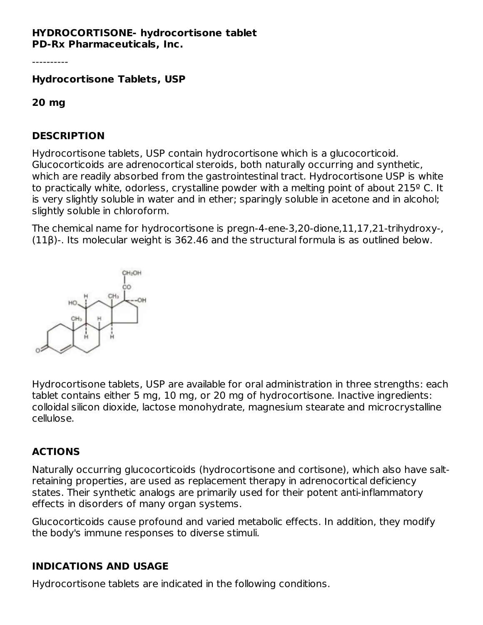#### **HYDROCORTISONE- hydrocortisone tablet PD-Rx Pharmaceuticals, Inc.**

----------

**Hydrocortisone Tablets, USP**

**20 mg**

#### **DESCRIPTION**

Hydrocortisone tablets, USP contain hydrocortisone which is a glucocorticoid. Glucocorticoids are adrenocortical steroids, both naturally occurring and synthetic, which are readily absorbed from the gastrointestinal tract. Hydrocortisone USP is white to practically white, odorless, crystalline powder with a melting point of about 215º C. It is very slightly soluble in water and in ether; sparingly soluble in acetone and in alcohol; slightly soluble in chloroform.

The chemical name for hydrocortisone is pregn-4-ene-3,20-dione,11,17,21-trihydroxy-, (11β)-. Its molecular weight is 362.46 and the structural formula is as outlined below.



Hydrocortisone tablets, USP are available for oral administration in three strengths: each tablet contains either 5 mg, 10 mg, or 20 mg of hydrocortisone. Inactive ingredients: colloidal silicon dioxide, lactose monohydrate, magnesium stearate and microcrystalline cellulose.

### **ACTIONS**

Naturally occurring glucocorticoids (hydrocortisone and cortisone), which also have saltretaining properties, are used as replacement therapy in adrenocortical deficiency states. Their synthetic analogs are primarily used for their potent anti-inflammatory effects in disorders of many organ systems.

Glucocorticoids cause profound and varied metabolic effects. In addition, they modify the body's immune responses to diverse stimuli.

#### **INDICATIONS AND USAGE**

Hydrocortisone tablets are indicated in the following conditions.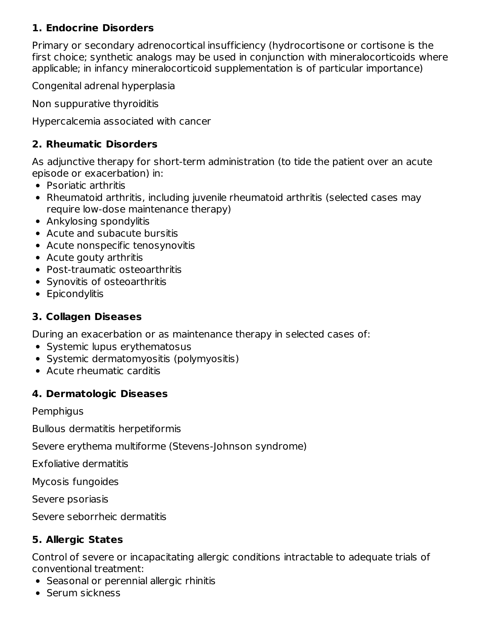### **1. Endocrine Disorders**

Primary or secondary adrenocortical insufficiency (hydrocortisone or cortisone is the first choice; synthetic analogs may be used in conjunction with mineralocorticoids where applicable; in infancy mineralocorticoid supplementation is of particular importance)

Congenital adrenal hyperplasia

Non suppurative thyroiditis

Hypercalcemia associated with cancer

## **2. Rheumatic Disorders**

As adjunctive therapy for short-term administration (to tide the patient over an acute episode or exacerbation) in:

- Psoriatic arthritis
- Rheumatoid arthritis, including juvenile rheumatoid arthritis (selected cases may require low-dose maintenance therapy)
- Ankylosing spondylitis
- Acute and subacute bursitis
- Acute nonspecific tenosynovitis
- Acute gouty arthritis
- Post-traumatic osteoarthritis
- Synovitis of osteoarthritis
- Epicondylitis

## **3. Collagen Diseases**

During an exacerbation or as maintenance therapy in selected cases of:

- Systemic lupus erythematosus
- Systemic dermatomyositis (polymyositis)
- Acute rheumatic carditis

### **4. Dermatologic Diseases**

Pemphigus

Bullous dermatitis herpetiformis

Severe erythema multiforme (Stevens-Johnson syndrome)

Exfoliative dermatitis

Mycosis fungoides

Severe psoriasis

Severe seborrheic dermatitis

### **5. Allergic States**

Control of severe or incapacitating allergic conditions intractable to adequate trials of conventional treatment:

- Seasonal or perennial allergic rhinitis
- Serum sickness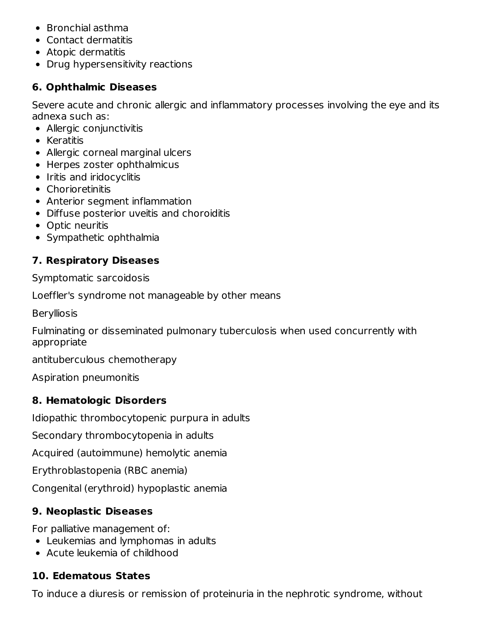- Bronchial asthma
- Contact dermatitis
- Atopic dermatitis
- Drug hypersensitivity reactions

### **6. Ophthalmic Diseases**

Severe acute and chronic allergic and inflammatory processes involving the eye and its adnexa such as:

- Allergic conjunctivitis
- Keratitis
- Allergic corneal marginal ulcers
- Herpes zoster ophthalmicus
- Iritis and iridocyclitis
- Chorioretinitis
- Anterior seament inflammation
- Diffuse posterior uveitis and choroiditis
- Optic neuritis
- Sympathetic ophthalmia

## **7. Respiratory Diseases**

Symptomatic sarcoidosis

Loeffler's syndrome not manageable by other means

**Berylliosis** 

Fulminating or disseminated pulmonary tuberculosis when used concurrently with appropriate

antituberculous chemotherapy

Aspiration pneumonitis

### **8. Hematologic Disorders**

Idiopathic thrombocytopenic purpura in adults

Secondary thrombocytopenia in adults

Acquired (autoimmune) hemolytic anemia

Erythroblastopenia (RBC anemia)

Congenital (erythroid) hypoplastic anemia

### **9. Neoplastic Diseases**

For palliative management of:

- Leukemias and lymphomas in adults
- Acute leukemia of childhood

### **10. Edematous States**

To induce a diuresis or remission of proteinuria in the nephrotic syndrome, without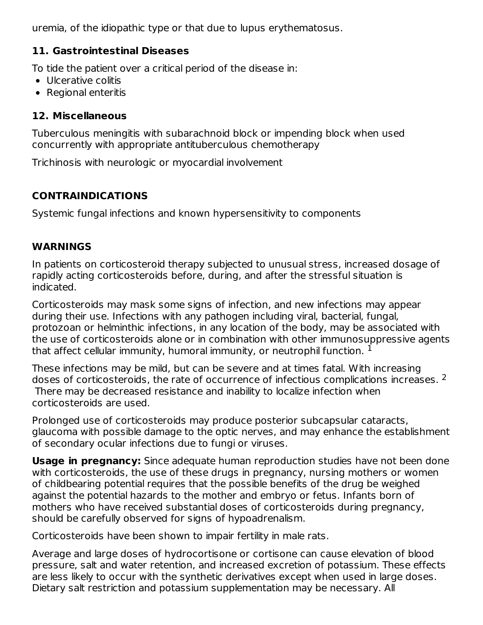uremia, of the idiopathic type or that due to lupus erythematosus.

### **11. Gastrointestinal Diseases**

To tide the patient over a critical period of the disease in:

- Ulcerative colitis
- Regional enteritis

## **12. Miscellaneous**

Tuberculous meningitis with subarachnoid block or impending block when used concurrently with appropriate antituberculous chemotherapy

Trichinosis with neurologic or myocardial involvement

# **CONTRAINDICATIONS**

Systemic fungal infections and known hypersensitivity to components

### **WARNINGS**

In patients on corticosteroid therapy subjected to unusual stress, increased dosage of rapidly acting corticosteroids before, during, and after the stressful situation is indicated.

Corticosteroids may mask some signs of infection, and new infections may appear during their use. Infections with any pathogen including viral, bacterial, fungal, protozoan or helminthic infections, in any location of the body, may be associated with the use of corticosteroids alone or in combination with other immunosuppressive agents that affect cellular immunity, humoral immunity, or neutrophil function.  $^{\rm 1}$ 

These infections may be mild, but can be severe and at times fatal. With increasing doses of corticosteroids, the rate of occurrence of infectious complications increases. <sup>2</sup> There may be decreased resistance and inability to localize infection when corticosteroids are used.

Prolonged use of corticosteroids may produce posterior subcapsular cataracts, glaucoma with possible damage to the optic nerves, and may enhance the establishment of secondary ocular infections due to fungi or viruses.

**Usage in pregnancy:** Since adequate human reproduction studies have not been done with corticosteroids, the use of these drugs in pregnancy, nursing mothers or women of childbearing potential requires that the possible benefits of the drug be weighed against the potential hazards to the mother and embryo or fetus. Infants born of mothers who have received substantial doses of corticosteroids during pregnancy, should be carefully observed for signs of hypoadrenalism.

Corticosteroids have been shown to impair fertility in male rats.

Average and large doses of hydrocortisone or cortisone can cause elevation of blood pressure, salt and water retention, and increased excretion of potassium. These effects are less likely to occur with the synthetic derivatives except when used in large doses. Dietary salt restriction and potassium supplementation may be necessary. All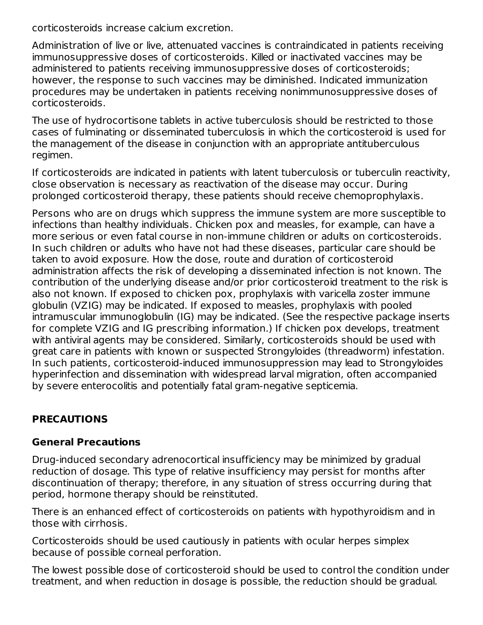corticosteroids increase calcium excretion.

Administration of live or live, attenuated vaccines is contraindicated in patients receiving immunosuppressive doses of corticosteroids. Killed or inactivated vaccines may be administered to patients receiving immunosuppressive doses of corticosteroids; however, the response to such vaccines may be diminished. Indicated immunization procedures may be undertaken in patients receiving nonimmunosuppressive doses of corticosteroids.

The use of hydrocortisone tablets in active tuberculosis should be restricted to those cases of fulminating or disseminated tuberculosis in which the corticosteroid is used for the management of the disease in conjunction with an appropriate antituberculous regimen.

If corticosteroids are indicated in patients with latent tuberculosis or tuberculin reactivity, close observation is necessary as reactivation of the disease may occur. During prolonged corticosteroid therapy, these patients should receive chemoprophylaxis.

Persons who are on drugs which suppress the immune system are more susceptible to infections than healthy individuals. Chicken pox and measles, for example, can have a more serious or even fatal course in non-immune children or adults on corticosteroids. In such children or adults who have not had these diseases, particular care should be taken to avoid exposure. How the dose, route and duration of corticosteroid administration affects the risk of developing a disseminated infection is not known. The contribution of the underlying disease and/or prior corticosteroid treatment to the risk is also not known. If exposed to chicken pox, prophylaxis with varicella zoster immune globulin (VZIG) may be indicated. If exposed to measles, prophylaxis with pooled intramuscular immunoglobulin (IG) may be indicated. (See the respective package inserts for complete VZIG and IG prescribing information.) If chicken pox develops, treatment with antiviral agents may be considered. Similarly, corticosteroids should be used with great care in patients with known or suspected Strongyloides (threadworm) infestation. In such patients, corticosteroid-induced immunosuppression may lead to Strongyloides hyperinfection and dissemination with widespread larval migration, often accompanied by severe enterocolitis and potentially fatal gram-negative septicemia.

### **PRECAUTIONS**

### **General Precautions**

Drug-induced secondary adrenocortical insufficiency may be minimized by gradual reduction of dosage. This type of relative insufficiency may persist for months after discontinuation of therapy; therefore, in any situation of stress occurring during that period, hormone therapy should be reinstituted.

There is an enhanced effect of corticosteroids on patients with hypothyroidism and in those with cirrhosis.

Corticosteroids should be used cautiously in patients with ocular herpes simplex because of possible corneal perforation.

The lowest possible dose of corticosteroid should be used to control the condition under treatment, and when reduction in dosage is possible, the reduction should be gradual.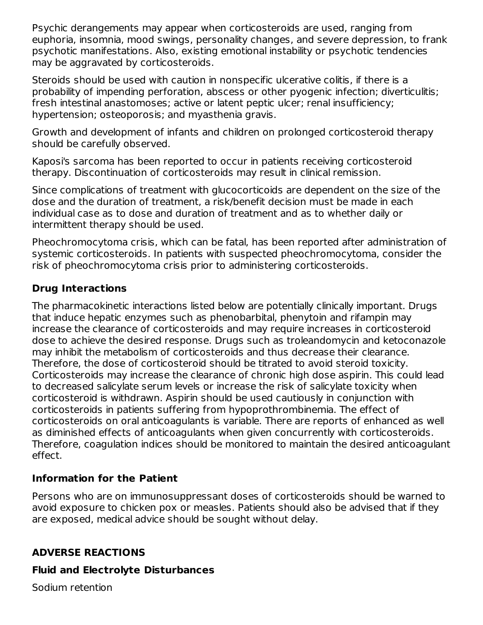Psychic derangements may appear when corticosteroids are used, ranging from euphoria, insomnia, mood swings, personality changes, and severe depression, to frank psychotic manifestations. Also, existing emotional instability or psychotic tendencies may be aggravated by corticosteroids.

Steroids should be used with caution in nonspecific ulcerative colitis, if there is a probability of impending perforation, abscess or other pyogenic infection; diverticulitis; fresh intestinal anastomoses; active or latent peptic ulcer; renal insufficiency; hypertension; osteoporosis; and myasthenia gravis.

Growth and development of infants and children on prolonged corticosteroid therapy should be carefully observed.

Kaposi's sarcoma has been reported to occur in patients receiving corticosteroid therapy. Discontinuation of corticosteroids may result in clinical remission.

Since complications of treatment with glucocorticoids are dependent on the size of the dose and the duration of treatment, a risk/benefit decision must be made in each individual case as to dose and duration of treatment and as to whether daily or intermittent therapy should be used.

Pheochromocytoma crisis, which can be fatal, has been reported after administration of systemic corticosteroids. In patients with suspected pheochromocytoma, consider the risk of pheochromocytoma crisis prior to administering corticosteroids.

### **Drug Interactions**

The pharmacokinetic interactions listed below are potentially clinically important. Drugs that induce hepatic enzymes such as phenobarbital, phenytoin and rifampin may increase the clearance of corticosteroids and may require increases in corticosteroid dose to achieve the desired response. Drugs such as troleandomycin and ketoconazole may inhibit the metabolism of corticosteroids and thus decrease their clearance. Therefore, the dose of corticosteroid should be titrated to avoid steroid toxicity. Corticosteroids may increase the clearance of chronic high dose aspirin. This could lead to decreased salicylate serum levels or increase the risk of salicylate toxicity when corticosteroid is withdrawn. Aspirin should be used cautiously in conjunction with corticosteroids in patients suffering from hypoprothrombinemia. The effect of corticosteroids on oral anticoagulants is variable. There are reports of enhanced as well as diminished effects of anticoagulants when given concurrently with corticosteroids. Therefore, coagulation indices should be monitored to maintain the desired anticoagulant effect.

### **Information for the Patient**

Persons who are on immunosuppressant doses of corticosteroids should be warned to avoid exposure to chicken pox or measles. Patients should also be advised that if they are exposed, medical advice should be sought without delay.

### **ADVERSE REACTIONS**

# **Fluid and Electrolyte Disturbances**

Sodium retention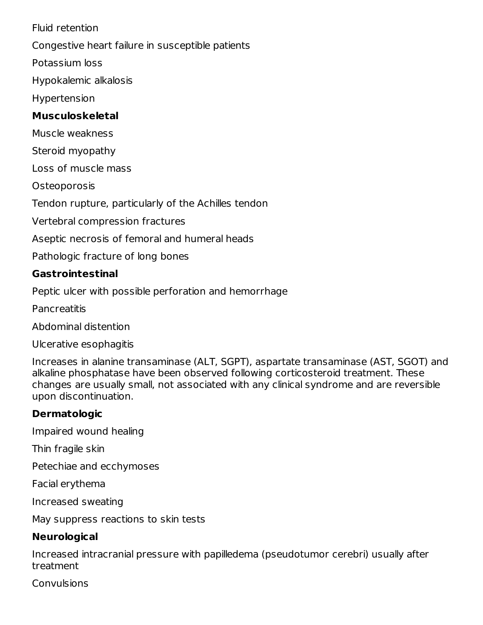Fluid retention Congestive heart failure in susceptible patients Potassium loss Hypokalemic alkalosis Hypertension **Musculoskeletal** Muscle weakness Steroid myopathy Loss of muscle mass **Osteoporosis** Tendon rupture, particularly of the Achilles tendon Vertebral compression fractures Aseptic necrosis of femoral and humeral heads

Pathologic fracture of long bones

### **Gastrointestinal**

Peptic ulcer with possible perforation and hemorrhage

**Pancreatitis** 

Abdominal distention

Ulcerative esophagitis

Increases in alanine transaminase (ALT, SGPT), aspartate transaminase (AST, SGOT) and alkaline phosphatase have been observed following corticosteroid treatment. These changes are usually small, not associated with any clinical syndrome and are reversible upon discontinuation.

### **Dermatologic**

Impaired wound healing

Thin fragile skin

Petechiae and ecchymoses

Facial erythema

Increased sweating

May suppress reactions to skin tests

### **Neurological**

Increased intracranial pressure with papilledema (pseudotumor cerebri) usually after treatment

Convulsions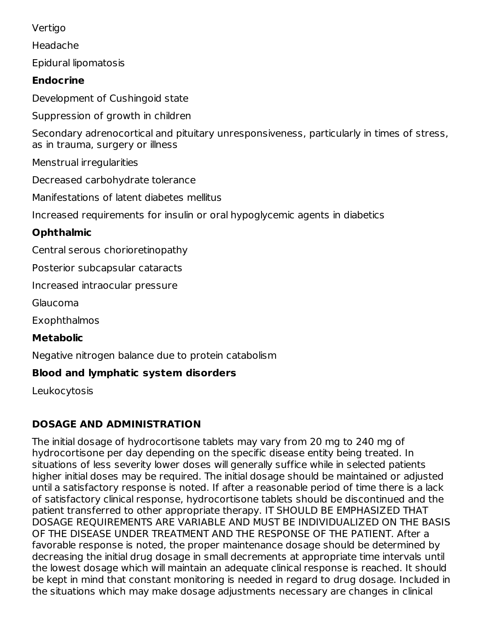Vertigo Headache Epidural lipomatosis **Endocrine** Development of Cushingoid state Suppression of growth in children Secondary adrenocortical and pituitary unresponsiveness, particularly in times of stress, as in trauma, surgery or illness Menstrual irregularities Decreased carbohydrate tolerance Manifestations of latent diabetes mellitus Increased requirements for insulin or oral hypoglycemic agents in diabetics **Ophthalmic** Central serous chorioretinopathy

Posterior subcapsular cataracts

Increased intraocular pressure

Glaucoma

Exophthalmos

#### **Metabolic**

Negative nitrogen balance due to protein catabolism

#### **Blood and lymphatic system disorders**

Leukocytosis

#### **DOSAGE AND ADMINISTRATION**

The initial dosage of hydrocortisone tablets may vary from 20 mg to 240 mg of hydrocortisone per day depending on the specific disease entity being treated. In situations of less severity lower doses will generally suffice while in selected patients higher initial doses may be required. The initial dosage should be maintained or adjusted until a satisfactory response is noted. If after a reasonable period of time there is a lack of satisfactory clinical response, hydrocortisone tablets should be discontinued and the patient transferred to other appropriate therapy. IT SHOULD BE EMPHASIZED THAT DOSAGE REQUIREMENTS ARE VARIABLE AND MUST BE INDIVIDUALIZED ON THE BASIS OF THE DISEASE UNDER TREATMENT AND THE RESPONSE OF THE PATIENT. After a favorable response is noted, the proper maintenance dosage should be determined by decreasing the initial drug dosage in small decrements at appropriate time intervals until the lowest dosage which will maintain an adequate clinical response is reached. It should be kept in mind that constant monitoring is needed in regard to drug dosage. Included in the situations which may make dosage adjustments necessary are changes in clinical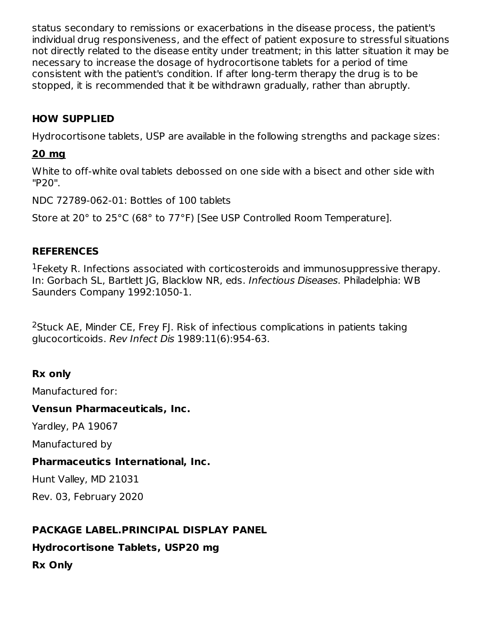status secondary to remissions or exacerbations in the disease process, the patient's individual drug responsiveness, and the effect of patient exposure to stressful situations not directly related to the disease entity under treatment; in this latter situation it may be necessary to increase the dosage of hydrocortisone tablets for a period of time consistent with the patient's condition. If after long-term therapy the drug is to be stopped, it is recommended that it be withdrawn gradually, rather than abruptly.

### **HOW SUPPLIED**

Hydrocortisone tablets, USP are available in the following strengths and package sizes:

### **20 mg**

White to off-white oval tablets debossed on one side with a bisect and other side with "P20".

NDC 72789-062-01: Bottles of 100 tablets

Store at 20° to 25°C (68° to 77°F) [See USP Controlled Room Temperature].

### **REFERENCES**

<sup>1</sup> Fekety R. Infections associated with corticosteroids and immunosuppressive therapy. In: Gorbach SL, Bartlett JG, Blacklow NR, eds. Infectious Diseases. Philadelphia: WB Saunders Company 1992:1050-1.

<sup>2</sup>Stuck AE, Minder CE, Frey FJ. Risk of infectious complications in patients taking glucocorticoids. Rev Infect Dis 1989:11(6):954-63.

### **Rx only**

Manufactured for:

### **Vensun Pharmaceuticals, Inc.**

Yardley, PA 19067

Manufactured by

### **Pharmaceutics International, Inc.**

Hunt Valley, MD 21031

Rev. 03, February 2020

### **PACKAGE LABEL.PRINCIPAL DISPLAY PANEL**

### **Hydrocortisone Tablets, USP20 mg**

**Rx Only**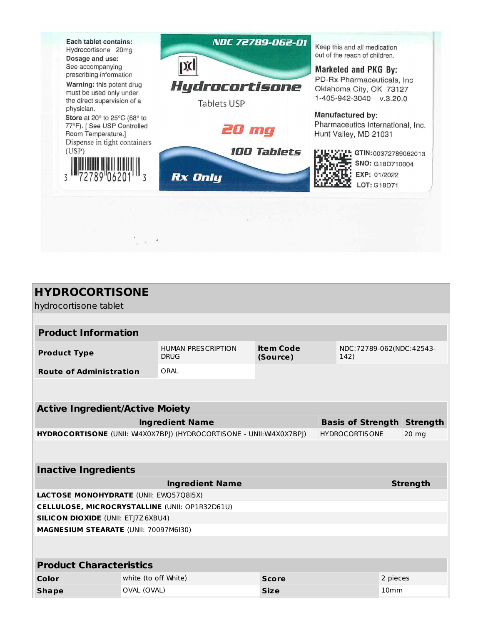

| <b>HYDROCORTISONE</b><br>hydrocortisone tablet                                               |                                                       |                                          |                              |      |          |                          |                 |  |
|----------------------------------------------------------------------------------------------|-------------------------------------------------------|------------------------------------------|------------------------------|------|----------|--------------------------|-----------------|--|
|                                                                                              |                                                       |                                          |                              |      |          |                          |                 |  |
| <b>Product Information</b>                                                                   |                                                       |                                          |                              |      |          |                          |                 |  |
| <b>Product Type</b>                                                                          |                                                       | <b>HUMAN PRESCRIPTION</b><br><b>DRUG</b> | <b>Item Code</b><br>(Source) | 142) |          | NDC:72789-062(NDC:42543- |                 |  |
| <b>Route of Administration</b>                                                               |                                                       | ORAI                                     |                              |      |          |                          |                 |  |
|                                                                                              |                                                       |                                          |                              |      |          |                          |                 |  |
|                                                                                              |                                                       |                                          |                              |      |          |                          |                 |  |
| <b>Active Ingredient/Active Moiety</b>                                                       |                                                       |                                          |                              |      |          |                          |                 |  |
| <b>Ingredient Name</b><br><b>Basis of Strength</b>                                           |                                                       |                                          |                              |      |          |                          | <b>Strength</b> |  |
| HYDROCORTISONE (UNII: W4X0X7BPJ) (HYDROCORTISONE - UNII: W4X0X7BPJ)<br><b>HYDROCORTISONE</b> |                                                       |                                          |                              |      |          | $20 \text{ mg}$          |                 |  |
|                                                                                              |                                                       |                                          |                              |      |          |                          |                 |  |
|                                                                                              |                                                       |                                          |                              |      |          |                          |                 |  |
| <b>Inactive Ingredients</b>                                                                  |                                                       |                                          |                              |      |          |                          |                 |  |
| <b>Ingredient Name</b>                                                                       |                                                       |                                          |                              |      |          | <b>Strength</b>          |                 |  |
| LACTOSE MONOHYDRATE (UNII: EWQ57Q8I5X)                                                       |                                                       |                                          |                              |      |          |                          |                 |  |
|                                                                                              | <b>CELLULOSE, MICROCRYSTALLINE (UNII: OP1R32D61U)</b> |                                          |                              |      |          |                          |                 |  |
| <b>SILICON DIOXIDE (UNII: ETJ7Z6XBU4)</b>                                                    |                                                       |                                          |                              |      |          |                          |                 |  |
| MAGNESIUM STEARATE (UNII: 70097M6I30)                                                        |                                                       |                                          |                              |      |          |                          |                 |  |
|                                                                                              |                                                       |                                          |                              |      |          |                          |                 |  |
|                                                                                              |                                                       |                                          |                              |      |          |                          |                 |  |
| <b>Product Characteristics</b>                                                               |                                                       |                                          |                              |      |          |                          |                 |  |
| Color                                                                                        | white (to off White)                                  |                                          | <b>Score</b>                 |      | 2 pieces |                          |                 |  |
| <b>Shape</b>                                                                                 | OVAL (OVAL)                                           |                                          | <b>Size</b>                  |      |          | 10 <sub>mm</sub>         |                 |  |